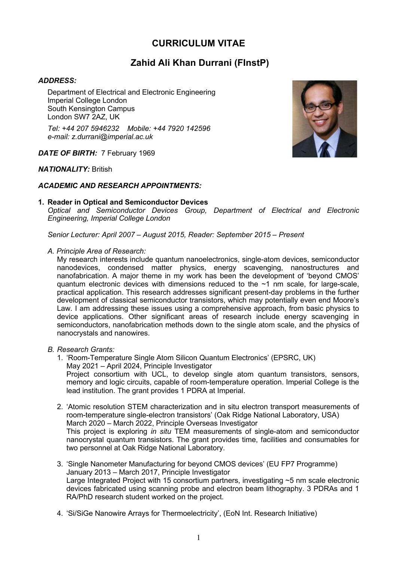# **CURRICULUM VITAE**

# **Zahid Ali Khan Durrani (FInstP)**

## *ADDRESS:*

Department of Electrical and Electronic Engineering Imperial College London South Kensington Campus London SW7 2AZ, UK

*Tel: +44 207 5946232 Mobile: +44 7920 142596 e-mail: z.durrani@imperial.ac.uk*

*DATE OF BIRTH:* 7 February 1969

### *NATIONALITY:* British

### *ACADEMIC AND RESEARCH APPOINTMENTS:*

### **1. Reader in Optical and Semiconductor Devices**

*Optical and Semiconductor Devices Group, Department of Electrical and Electronic Engineering, Imperial College London*

*Senior Lecturer: April 2007 – August 2015, Reader: September 2015 – Present* 

*A. Principle Area of Research:*

My research interests include quantum nanoelectronics, single-atom devices, semiconductor nanodevices, condensed matter physics, energy scavenging, nanostructures and nanofabrication. A major theme in my work has been the development of 'beyond CMOS' quantum electronic devices with dimensions reduced to the ~1 nm scale, for large-scale, practical application. This research addresses significant present-day problems in the further development of classical semiconductor transistors, which may potentially even end Moore's Law. I am addressing these issues using a comprehensive approach, from basic physics to device applications. Other significant areas of research include energy scavenging in semiconductors, nanofabrication methods down to the single atom scale, and the physics of nanocrystals and nanowires.

- *B. Research Grants:*
	- 1. 'Room-Temperature Single Atom Silicon Quantum Electronics' (EPSRC, UK) May 2021 – April 2024, Principle Investigator Project consortium with UCL, to develop single atom quantum transistors, sensors, memory and logic circuits, capable of room-temperature operation. Imperial College is the lead institution. The grant provides 1 PDRA at Imperial.
	- 2. 'Atomic resolution STEM characterization and in situ electron transport measurements of room-temperature single-electron transistors' (Oak Ridge National Laboratory, USA) March 2020 – March 2022, Principle Overseas Investigator This project is exploring *in situ* TEM measurements of single-atom and semiconductor nanocrystal quantum transistors. The grant provides time, facilities and consumables for two personnel at Oak Ridge National Laboratory.
	- 3. 'Single Nanometer Manufacturing for beyond CMOS devices' (EU FP7 Programme) January 2013 – March 2017, Principle Investigator Large Integrated Project with 15 consortium partners, investigating ~5 nm scale electronic devices fabricated using scanning probe and electron beam lithography. 3 PDRAs and 1 RA/PhD research student worked on the project.
	- 4. 'Si/SiGe Nanowire Arrays for Thermoelectricity', (EoN Int. Research Initiative)

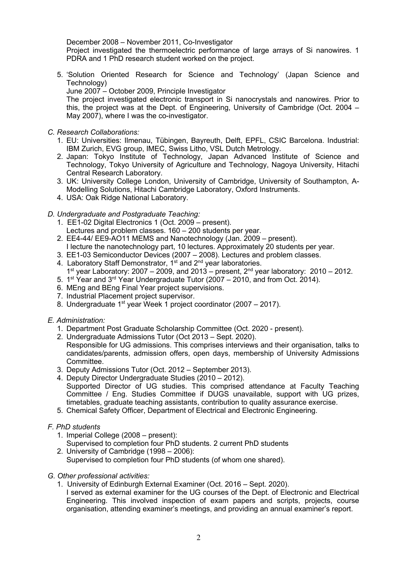### December 2008 – November 2011, Co-Investigator

Project investigated the thermoelectric performance of large arrays of Si nanowires. 1 PDRA and 1 PhD research student worked on the project.

5. 'Solution Oriented Research for Science and Technology' (Japan Science and Technology)

June 2007 – October 2009, Principle Investigator

The project investigated electronic transport in Si nanocrystals and nanowires. Prior to this, the project was at the Dept. of Engineering, University of Cambridge (Oct. 2004 – May 2007), where I was the co-investigator.

- *C. Research Collaborations:*
	- 1. EU: Universities: Ilmenau, Tübingen, Bayreuth, Delft, EPFL, CSIC Barcelona. Industrial: IBM Zurich, EVG group, IMEC, Swiss Litho, VSL Dutch Metrology.
	- 2. Japan: Tokyo Institute of Technology, Japan Advanced Institute of Science and Technology, Tokyo University of Agriculture and Technology, Nagoya University, Hitachi Central Research Laboratory.
	- 3. UK: University College London, University of Cambridge, University of Southampton, A-Modelling Solutions, Hitachi Cambridge Laboratory, Oxford Instruments.
	- 4. USA: Oak Ridge National Laboratory.
- *D. Undergraduate and Postgraduate Teaching:*
	- 1. EE1-02 Digital Electronics 1 (Oct. 2009 present).
	- Lectures and problem classes. 160 200 students per year.
	- 2. EE4-44/ EE9-AO11 MEMS and Nanotechnology (Jan. 2009 present). I lecture the nanotechnology part, 10 lectures. Approximately 20 students per year.
	- 3. EE1-03 Semiconductor Devices (2007 2008). Lectures and problem classes.
	- 4. Laboratory Staff Demonstrator,  $1^{st}$  and  $2^{nd}$  year laboratories. 1<sup>st</sup> year Laboratory: 2007 – 2009, and 2013 – present,  $2^{nd}$  year laboratory: 2010 – 2012.
	- 5. 1st Year and 3rd Year Undergraduate Tutor (2007 2010, and from Oct. 2014).
	- 6. MEng and BEng Final Year project supervisions.
	- 7. Industrial Placement project supervisor.
	- 8. Undergraduate 1st year Week 1 project coordinator (2007 2017).
- *E. Administration:*
	- 1. Department Post Graduate Scholarship Committee (Oct. 2020 present).
	- 2. Undergraduate Admissions Tutor (Oct 2013 Sept. 2020).
	- Responsible for UG admissions. This comprises interviews and their organisation, talks to candidates/parents, admission offers, open days, membership of University Admissions Committee.
	- 3. Deputy Admissions Tutor (Oct. 2012 September 2013).
	- 4. Deputy Director Undergraduate Studies (2010 2012). Supported Director of UG studies. This comprised attendance at Faculty Teaching Committee / Eng. Studies Committee if DUGS unavailable, support with UG prizes, timetables, graduate teaching assistants, contribution to quality assurance exercise.
	- 5. Chemical Safety Officer, Department of Electrical and Electronic Engineering.
- *F. PhD students*
	- 1. Imperial College (2008 present):
	- Supervised to completion four PhD students. 2 current PhD students
	- 2. University of Cambridge (1998 2006): Supervised to completion four PhD students (of whom one shared).
- *G. Other professional activities:*
	- 1. University of Edinburgh External Examiner (Oct. 2016 Sept. 2020).
		- I served as external examiner for the UG courses of the Dept. of Electronic and Electrical Engineering. This involved inspection of exam papers and scripts, projects, course organisation, attending examiner's meetings, and providing an annual examiner's report.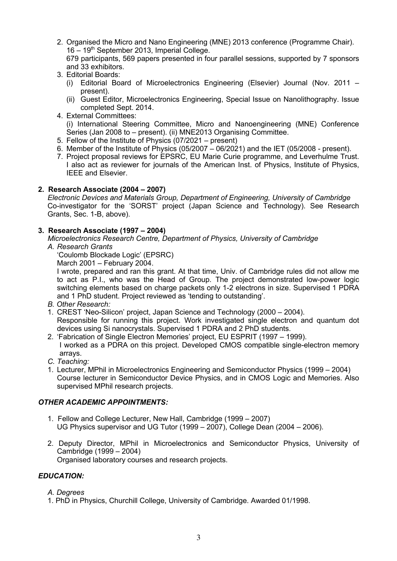2. Organised the Micro and Nano Engineering (MNE) 2013 conference (Programme Chair). 16 – 19<sup>th</sup> September 2013, Imperial College.

679 participants, 569 papers presented in four parallel sessions, supported by 7 sponsors and 33 exhibitors.

- 3. Editorial Boards:
	- (i) Editorial Board of Microelectronics Engineering (Elsevier) Journal (Nov. 2011 present).
	- (ii) Guest Editor, Microelectronics Engineering, Special Issue on Nanolithography. Issue completed Sept. 2014.
- 4. External Committees:

(i) International Steering Committee, Micro and Nanoengineering (MNE) Conference Series (Jan 2008 to – present). (ii) MNE2013 Organising Committee.

- 5. Fellow of the Institute of Physics (07/2021 present)
- 6. Member of the Institute of Physics  $(05/2007 06/2021)$  and the IET  $(05/2008 -$  present).
- 7. Project proposal reviews for EPSRC, EU Marie Curie programme, and Leverhulme Trust. I also act as reviewer for journals of the American Inst. of Physics, Institute of Physics, IEEE and Elsevier.

# **2. Research Associate (2004 – 2007)**

*Electronic Devices and Materials Group, Department of Engineering, University of Cambridge*  Co-investigator for the 'SORST' project (Japan Science and Technology). See Research Grants, Sec. 1-B, above).

# **3. Research Associate (1997 – 2004)**

*Microelectronics Research Centre, Department of Physics, University of Cambridge A. Research Grants*

'Coulomb Blockade Logic' (EPSRC)

March 2001 – February 2004.

I wrote, prepared and ran this grant. At that time, Univ. of Cambridge rules did not allow me to act as P.I., who was the Head of Group. The project demonstrated low-power logic switching elements based on charge packets only 1-2 electrons in size. Supervised 1 PDRA and 1 PhD student. Project reviewed as 'tending to outstanding'.

- *B. Other Research:*
- 1. CREST 'Neo-Silicon' project, Japan Science and Technology (2000 2004). Responsible for running this project. Work investigated single electron and quantum dot devices using Si nanocrystals. Supervised 1 PDRA and 2 PhD students.
- 2. 'Fabrication of Single Electron Memories' project, EU ESPRIT (1997 1999). I worked as a PDRA on this project. Developed CMOS compatible single-electron memory arrays.
- *C. Teaching:*
- 1. Lecturer, MPhil in Microelectronics Engineering and Semiconductor Physics (1999 2004) Course lecturer in Semiconductor Device Physics, and in CMOS Logic and Memories. Also supervised MPhil research projects.

## *OTHER ACADEMIC APPOINTMENTS:*

- 1. Fellow and College Lecturer, New Hall, Cambridge (1999 2007) UG Physics supervisor and UG Tutor (1999 – 2007), College Dean (2004 – 2006).
- 2. Deputy Director, MPhil in Microelectronics and Semiconductor Physics, University of Cambridge (1999 – 2004) Organised laboratory courses and research projects.

# *EDUCATION:*

- *A. Degrees*
- 1. PhD in Physics, Churchill College, University of Cambridge. Awarded 01/1998.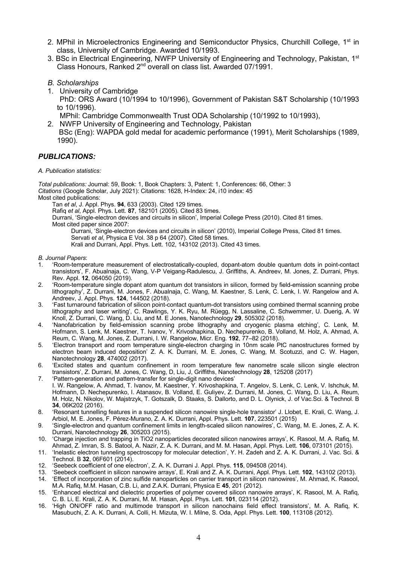- 2. MPhil in Microelectronics Engineering and Semiconductor Physics, Churchill College, 1<sup>st</sup> in class, University of Cambridge. Awarded 10/1993.
- 3. BSc in Electrical Engineering, NWFP University of Engineering and Technology, Pakistan, 1<sup>st</sup> Class Honours, Ranked 2nd overall on class list. Awarded 07/1991.
- *B. Scholarships*
- 1. University of Cambridge PhD: ORS Award (10/1994 to 10/1996), Government of Pakistan S&T Scholarship (10/1993 to 10/1996). MPhil: Cambridge Commonwealth Trust ODA Scholarship (10/1992 to 10/1993),
- 2. NWFP University of Engineering and Technology, Pakistan BSc (Eng): WAPDA gold medal for academic performance (1991), Merit Scholarships (1989,

## *PUBLICATIONS:*

1990).

#### *A. Publication statistics:*

*Total publications:* Journal: 59, Book: 1, Book Chapters: 3, Patent: 1, Conferences: 66, Other: 3 *Citations* (Google Scholar, July 2021): Citations: 1628, H-Index: 24, i10 index: 45 Most cited publications: Tan *et al*, J. Appl. Phys. **94**, 633 (2003). Cited 129 times.

Rafiq *et al*, Appl. Phys. Lett. **87**, 182101 (2005). Cited 83 times.

Durrani, 'Single-electron devices and circuits in silicon', Imperial College Press (2010). Cited 81 times. Most cited paper since 2007:

Durrani, 'Single-electron devices and circuits in silicon' (2010), Imperial College Press, Cited 81 times. Servati *et al*, Physica E Vol. 38 p 64 (2007). Cited 58 times.

Krali and Durrani, Appl. Phys. Lett. 102, 143102 (2013). Cited 43 times.

#### *B. Journal Papers*:

- 1. 'Room-temperature measurement of electrostatically-coupled, dopant-atom double quantum dots in point-contact transistors', F. Abualnaja, C. Wang, V-P Veigang-Radulescu, J. Griffiths, A. Andreev, M. Jones, Z. Durrani, Phys. Rev. Appl. **12**, 064050 (2019).
- 2. 'Room-temperature single dopant atom quantum dot transistors in silicon, formed by field-emission scanning probe lithography', Z. Durrani, M. Jones, F. Abualnaja, C. Wang, M. Kaestner, S. Lenk, C. Lenk, I. W. Rangelow and A. Andreev, J. Appl. Phys. **124**, 144502 (2018).
- 3. 'Fast turnaround fabrication of silicon point-contact quantum-dot transistors using combined thermal scanning probe lithography and laser writing', C. Rawlings, Y. K. Ryu, M. Rüegg, N. Lassaline, C. Schwemmer, U. Duerig, A. W Knoll, Z. Durrani, C. Wang, D. Liu, and M. E Jones, Nanotechnology **29**, 505302 (2018).
- 4. 'Nanofabrication by field-emission scanning probe lithography and cryogenic plasma etching', C. Lenk, M. Hofmann, S. Lenk, M. Kaestner, T. Ivanov, Y. Krivoshapkina, D. Nechepurenko, B. Volland, M. Holz, A. Ahmad, A. Reum, C. Wang, M. Jones, Z. Durrani, I. W. Rangelow, Micr. Eng. **192**, 77–82 (2018).
- 5. 'Electron transport and room temperature single-electron charging in 10nm scale PtC nanostructures formed by electron beam induced deposition' Z. A. K. Durrani, M. E. Jones, C. Wang, M. Scotuzzi, and C. W. Hagen, Nanotechnology **28**, 474002 (2017).
- 6. 'Excited states and quantum confinement in room temperature few nanometre scale silicon single electron transistors', Z. Durrani, M. Jones, C. Wang, D, Liu, J, Griffiths, Nanotechnology **28**, 125208 (2017)
- 7. 'Pattern-generation and pattern-transfer for single-digit nano devices' I. W. Rangelow, A. Ahmad, T. Ivanov, M. Kaestner, Y. Krivoshapkina, T. Angelov, S. Lenk, C. Lenk, V. Ishchuk, M. Hofmann, D. Nechepurenko, I. Atanasov, B. Volland, E. Guliyev, Z. Durrani, M. Jones, C. Wang, D. Liu, A. Reum, M. Holz, N. Nikolov, W. Majstrzyk, T. Gotszalk, D. Staaks, S. Dallorto, and D. L. Olynick, J. of Vac.Sci. & Technol. B **34**, 06K202 (2016).
- 8. 'Resonant tunnelling features in a suspended silicon nanowire single-hole transistor' J. Llobet, E. Krali, C. Wang, J. Arbiol, M. E. Jones, F. Pérez-Murano, Z. A. K. Durrani, Appl. Phys. Lett. **107**, 223501 (2015)
- 9. 'Single-electron and quantum confinement limits in length-scaled silicon nanowires', C. Wang, M. E. Jones, Z. A. K. Durrani, Nanotechnology **26**, 305203 (2015).
- 10. 'Charge injection and trapping in TiO2 nanoparticles decorated silicon nanowires arrays', K. Rasool, M. A. Rafiq, M. Ahmad, Z. Imran, S. S. Batool, A. Nazir, Z. A. K. Durrani, and M. M. Hasan, Appl. Phys. Lett. **106**, 073101 (2015).
- 11. 'Inelastic electron tunneling spectroscopy for molecular detection', Y. H. Zadeh and Z. A. K. Durrani, J. Vac. Sci. & Technol. B **32**, 06F601 (2014).
- 12. 'Seebeck coefficient of one electron', Z. A. K. Durrani J. Appl. Phys. **115**, 094508 (2014).
- 13. 'Seebeck coefficient in silicon nanowire arrays', E. Krali and Z. A. K. Durrani, Appl. Phys. Lett. **102**, 143102 (2013).
- 14. 'Effect of incorporation of zinc sulfide nanoparticles on carrier transport in silicon nanowires', M. Ahmad, K. Rasool, M.A. Rafiq, M.M. Hasan, C.B. Li, and Z.A.K. Durrani, Physica E **45**, 201 (2012).
- 15. 'Enhanced electrical and dielectric properties of polymer covered silicon nanowire arrays', K. Rasool, M. A. Rafiq, C. B. Li, E. Krali, Z. A. K. Durrani, M. M. Hasan, Appl. Phys. Lett. **101**, 023114 (2012).
- 16. 'High ON/OFF ratio and multimode transport in silicon nanochains field effect transistors', M. A. Rafiq, K. Masubuchi, Z. A. K. Durrani, A. Colli, H. Mizuta, W. I. Milne, S. Oda, Appl. Phys. Lett. **100**, 113108 (2012).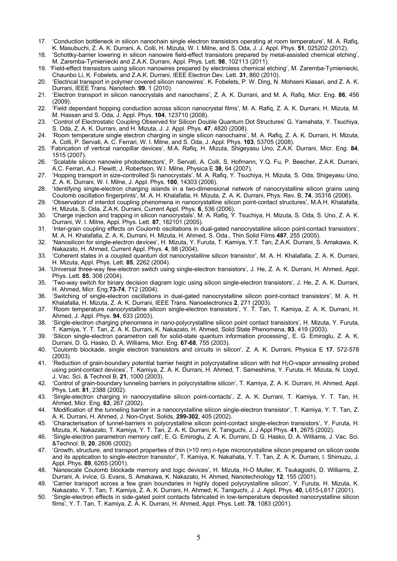- 17. 'Conduction bottleneck in silicon nanochain single electron transistors operating at room temperature', M. A. Rafiq, K. Masubuchi, Z. A. K. Durrani, A. Colli, H. Mizuta, W. I. Milne, and S. Oda, J. J. Appl. Phys. **51**, 025202 (2012).
- 18. 'Schottky-barrier lowering in silicon nanowire field-effect transistors prepared by metal-assisted chemical etching', M. Zaremba-Tymieniecki and Z.A.K. Durrani, Appl. Phys. Lett. **98**, 102113 (2011).
- 19. 'Field-effect transistors using silicon nanowires prepared by electroless chemical etching', M. Zaremba-Tymieniecki, Chaunbo Li, K. Fobelets, and Z.A.K. Durrani, IEEE Electron Dev. Lett. **31**, 860 (2010).
- 20. 'Electrical transport in polymer covered silicon nanowires'. K. Fobelets, P. W. Ding, N. Mohseni Kiasari, and Z. A. K. Durrani, IEEE Trans. Nanotech. **99**, 1 (2010).
- 21. 'Electron transport in silicon nanocrystals and nanochains', Z. A. K. Durrani, and M. A. Rafiq, Micr. Eng. **86**, 456 (2009).
- 22. 'Field dependant hopping conduction across silicon nanocrystal films', M. A. Rafiq, Z. A. K. Durrani, H. Mizuta, M. M. Hassan and S. Oda, J. Appl. Phys. **104**, 123710 (2008).
- 23. 'Control of Electrostatic Coupling Observed for Silicon Double Quantum Dot Structures' G. Yamahata, Y. Tsuchiya, S. Oda, Z. A. K. Durrani, and H. Mizuta, J. J. Appl. Phys. **47**, 4820 (2008).
- 24. 'Room temperature single electron charging in single silicon nanochains', M. A. Rafiq, Z. A. K. Durrani, H. Mizuta, A. Colli, P. Servati, A. C. Ferrari, W. I. Milne, and S. Oda, J. Appl. Phys. **103**, 53705 (2008).
- 25. 'Fabrication of vertical nanopillar devices', M.A. Rafiq, H. Mizuta, Shigeyasu Uno, Z.A.K. Durrani, Micr. Eng. **84**, 1515 (2007).
- 26. 'Scalable silicon nanowire photodetectors', P. Servati, A. Colli, S. Hofmann, Y.Q. Fu, P. Beecher, Z.A.K. Durrani, A.C. Ferrari, A.J. Flewitt, J. Robertson, W.I. Milne, Physica E **38**, 64 (2007).
- 27. 'Hopping transport in size-controlled Si nanocrystals', M. A. Rafiq, Y. Tsuchiya, H. Mizuta, S. Oda, Shigeyasu Uno, Z. A. K. Durrani, W. I. Milne, J. Appl. Phys. **100**, 14303 (2006).
- 28. 'Identifying single-electron charging islands in a two-dimensional network of nanocrystalline silicon grains using Coulomb oscillation fingerprints', M. A. H. Khalafalla, H. Mizuta, Z. A. K. Durrani, Phys. Rev. B, **74**, 35316 (2006).
- 29. 'Observation of interdot coupling phenomena in nanocrystalline silicon point-contact structures', M.A.H. Khalafalla, H. Mizuta, S. Oda, Z.A.K. Durrani, Current Appl. Phys. **6**, 536 (2006).
- 30. 'Charge injection and trapping in silicon nanocrystals', M. A. Rafiq*,* Y. Tsuchiya, H. Mizuta, S. Oda, S. Uno, Z. A. K. Durrani, W. I. Milne, Appl. Phys. Lett. **87**, 182101 (2005).
- 31. 'Inter-grain coupling effects on Coulomb oscillations in dual-gated nanocrystalline silicon point-contact transistors', M. A. H. Khalafalla, Z. A. K. Durrani, H. Mizuta, H. Ahmed, S. Oda., Thin Solid Films **487**, 255 (2005).
- 32. 'Nanosilicon for single-electron devices', H. Mizuta, Y. Furuta, T. Kamiya, Y.T. Tan, Z.A.K. Durrani, S. Amakawa, K. Nakazato, H. Ahmed, Current Appl. Phys. **4**, 98 (2004).
- 33. 'Coherent states in a coupled quantum dot nanocrystalline silicon transistor', M. A. H. Khalafalla, Z. A. K. Durrani, H. Mizuta, Appl. Phys. Lett. **85**, 2262 (2004).
- 34. 'Universal three-way few-electron switch using single-electron transistors', J. He, Z. A. K. Durrani, H. Ahmed, Appl. Phys. Lett. **85**, 308 (2004).
- 35. 'Two-way switch for binary decision diagram logic using silicon single-electron transistors', J. He, Z. A. K. Durrani, H. Ahmed, Micr. Eng.**73-74**, 712 (2004).
- 36. 'Switching of single-electron oscillations in dual-gated nanocrystalline silicon point-contact transistors', M. A. H. Khalafalla, H. Mizuta, Z. A. K. Durrani, IEEE Trans. Nanoelectronics **2**, 271 (2003).
- 37. 'Room temperature nanocrystalline silicon single-electron transistors', Y. T. Tan, T. Kamiya, Z. A. K. Durrani, H. Ahmed, J. Appl. Phys. **94**, 633 (2003).
- 38. 'Single-electron charging phenomena in nano-polycrystalline silicon point contact transistors', H. Mizuta, Y. Furuta, T. Kamiya, Y. T. Tan, Z. A. K. Durrani, K. Nakazato, H. Ahmed, Solid State Phenomena, **93**, 419 (2003).
- 39. 'Silicon single-electron parametron cell for solid-state quantum information processing', E. G. Emiroglu, Z. A. K. Durrani, D. G. Hasko, D. A. Williams, Micr. Eng. **67-68**, 755 (2003).
- 40. 'Coulomb blockade, single electron transistors and circuits in silicon', Z. A. K. Durrani, Physica E **17**, 572-578 (2003).
- 41. 'Reduction of grain-boundary potential barrier height in polycrystalline silicon with hot H2O-vapor annealing probed using point-contact devices', T. Kamiya, Z. A. K. Durrani, H. Ahmed, T. Sameshima, Y. Furuta, H. Mizuta, N. Lloyd, J. Vac. Sci. & Technol B, **21**, 1000 (2003).
- 42. 'Control of grain-boundary tunneling barriers in polycrystalline silicon', T. Kamiya, Z. A. K. Durrani, H. Ahmed, Appl. Phys. Lett. **81**, 2388 (2002).
- 43. 'Single-electron charging in nanocrystalline silicon point-contacts', Z. A. K. Durrani, T. Kamiya, Y. T. Tan, H. Ahmed, Micr. Eng. **63**, 267 (2002).
- 44. 'Modification of the tunneling barrier in a nanocrystalline silicon single-electron transistor', T. Kamiya, Y. T. Tan, Z. A. K. Durrani, H. Ahmed, J. Non-Cryst. Solids, **299-302**, 405 (2002).
- 45. 'Characterisation of tunnel-barriers in polycrystalline silicon point-contact single-electron transistors', Y. Furuta, H. Mizuta, K. Nakazato, T. Kamiya, Y. T. Tan, Z. A. K. Durrani, K. Taniguchi, J. J Appl Phys. **41**, 2675 (2002).
- 46. 'Single-electron parametron memory cell', E. G. Emiroglu, Z. A. K. Durrani, D. G. Hasko, D. A. Williams, J. Vac. Sci. &Technol. B, **20**, 2806 (2002).
- 47. 'Growth, structure, and transport properties of thin (>10 nm) *n-*type microcrystalline silicon prepared on silicon oxide and its application to single-electron transistor', T. Kamiya, K. Nakahata, Y. T. Tan, Z. A. K. Durrani, I. Shimuzu, J. Appl. Phys. **89**, 6265 (2001).
- 48. 'Nanoscale Coulomb blockade memory and logic devices', H. Mizuta, H-O Muller, K. Tsukagoshi, D. Williams, Z. Durrani, A. Irvice, G. Evans, S. Amakawa, K. Nakazato, H. Ahmed, Nanotechnology **12**, 155 (2001).
- 49. 'Carrier transport across a few grain boundaries in highly doped polycrystalline silicon', Y. Furuta, H. Mizuta, K. Nakazato, Y. T. Tan, T. Kamiya, Z. A. K. Durrani, H. Ahmed, K. Taniguchi, J. J. Appl. Phys. **40**, L615-L617 (2001).
- 50. 'Single-electron effects in side-gated point contacts fabricated in low-temperature deposited nanocrystalline silicon films', Y. T. Tan, T. Kamiya, Z. A. K. Durrani, H. Ahmed, Appl. Phys. Lett. **78**, 1083 (2001).